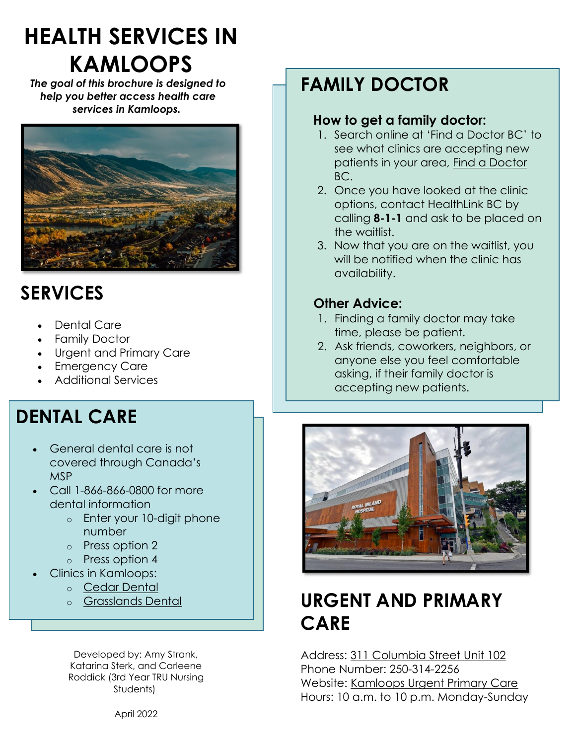# **HEALTH SERVICES IN KAMLOOPS**

*The goal of this brochure is designed to help you better access health care services in Kamloops.*



## **SERVICES**

- Dental Care
- Family Doctor
- Urgent and Primary Care
- Emergency Care
- Additional Services

## **DENTAL CARE**

- General dental care is not covered through Canada's MSP
- Call 1-866-866-0800 for more dental information
	- o Enter your 10-digit phone number
	- o Press option 2
	- o Press option 4
- Clinics in Kamloops:
	- o [Cedar Dental](https://www.cedardental.ca/site/home)
	- o [Grasslands Dental](https://www.grasslandsdentalcare.ca/site/home?_vsrefdom=p.403.c.2771&gclid=Cj0KCQiA09eQBhCxARIsAAYRiyms2qFmOvcPAwUW2UVQpwJWzFAm0BKnpNxfKvAaZYXNzAArhPrYg2UaAk7vEALw_wcB&gclsrc=aw.ds)

Developed by: Amy Strank, Katarina Sterk, and Carleene Roddick (3rd Year TRU Nursing Students)

## **FAMILY DOCTOR**

#### **How to get a family doctor:**

- 1. Search online at 'Find a Doctor BC' to see what clinics are accepting new patients in your area, [Find a Doctor](https://www.findadoctorbc.ca/)  [BC.](https://www.findadoctorbc.ca/)
- 2. Once you have looked at the clinic options, contact HealthLink BC by calling **8-1-1** and ask to be placed on the waitlist.
- 3. Now that you are on the waitlist, you will be notified when the clinic has availability.

### **Other Advice:**

- 1. Finding a family doctor may take time, please be patient.
- 2. Ask friends, coworkers, neighbors, or anyone else you feel comfortable asking, if their family doctor is accepting new patients.



## **URGENT AND PRIMARY CARE**

Address: [311 Columbia Street Unit 102](https://www.google.com/maps/place/Urgent+Primary+Care+%26+Learning+Centre/@50.6710105,-120.3359208,17z/data=!3m1!4b1!4m5!3m4!1s0x537e2d37c33b0573:0x8d73b7fe0c76bf12!8m2!3d50.6710105!4d-120.3337321?hl=en) Phone Number: 250-314-2256 Website: [Kamloops Urgent Primary Care](https://www.interiorhealth.ca/locations/kamloops-urgent-primary-care-learning-centre) Hours: 10 a.m. to 10 p.m. Monday-Sunday

April 2022